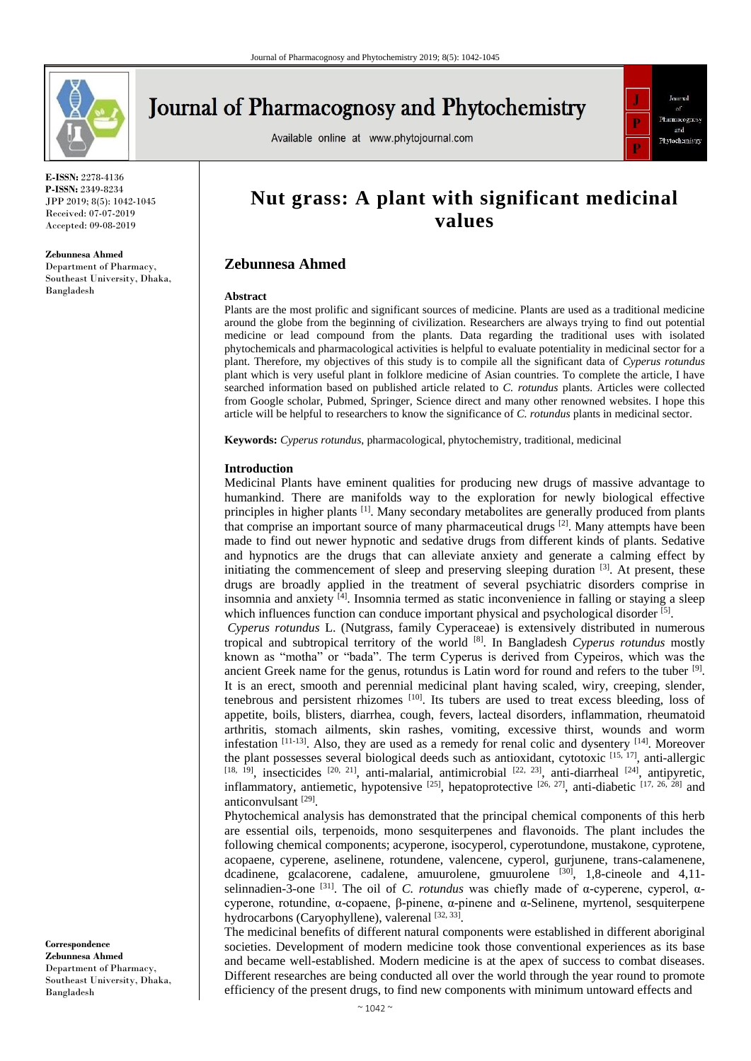

# **Journal of Pharmacognosy and Phytochemistry**

Available online at www.phytojournal.com



**E-ISSN:** 2278-4136 **P-ISSN:** 2349-8234 JPP 2019; 8(5): 1042-1045 Received: 07-07-2019 Accepted: 09-08-2019

#### **Zebunnesa Ahmed**

Department of Pharmacy, Southeast University, Dhaka, Bangladesh

# **Nut grass: A plant with significant medicinal values**

# **Zebunnesa Ahmed**

#### **Abstract**

Plants are the most prolific and significant sources of medicine. Plants are used as a traditional medicine around the globe from the beginning of civilization. Researchers are always trying to find out potential medicine or lead compound from the plants. Data regarding the traditional uses with isolated phytochemicals and pharmacological activities is helpful to evaluate potentiality in medicinal sector for a plant. Therefore, my objectives of this study is to compile all the significant data of *Cyperus rotundus* plant which is very useful plant in folklore medicine of Asian countries. To complete the article, I have searched information based on published article related to *C. rotundus* plants. Articles were collected from Google scholar, Pubmed, Springer, Science direct and many other renowned websites. I hope this article will be helpful to researchers to know the significance of *C. rotundus* plants in medicinal sector.

**Keywords:** *Cyperus rotundus*, pharmacological, phytochemistry, traditional, medicinal

#### **Introduction**

Medicinal Plants have eminent qualities for producing new drugs of massive advantage to humankind. There are manifolds way to the exploration for newly biological effective principles in higher plants [1]. Many secondary metabolites are generally produced from plants that comprise an important source of many pharmaceutical drugs [2]. Many attempts have been made to find out newer hypnotic and sedative drugs from different kinds of plants. Sedative and hypnotics are the drugs that can alleviate anxiety and generate a calming effect by initiating the commencement of sleep and preserving sleeping duration  $[3]$ . At present, these drugs are broadly applied in the treatment of several psychiatric disorders comprise in insomnia and anxiety [4]. Insomnia termed as static inconvenience in falling or staying a sleep which influences function can conduce important physical and psychological disorder [5].

*Cyperus rotundus* L. (Nutgrass, family Cyperaceae) is extensively distributed in numerous tropical and subtropical territory of the world [8]. In Bangladesh *Cyperus rotundus* mostly known as "motha" or "bada". The term Cyperus is derived from Cypeiros, which was the ancient Greek name for the genus, rotundus is Latin word for round and refers to the tuber [9]. It is an erect, smooth and perennial medicinal plant having scaled, wiry, creeping, slender, tenebrous and persistent rhizomes [10]. Its tubers are used to treat excess bleeding, loss of appetite, boils, blisters, diarrhea, cough, fevers, lacteal disorders, inflammation, rheumatoid arthritis, stomach ailments, skin rashes, vomiting, excessive thirst, wounds and worm infestation  $[11-13]$ . Also, they are used as a remedy for renal colic and dysentery  $[14]$ . Moreover the plant possesses several biological deeds such as antioxidant, cytotoxic <sup>[15, 17]</sup>, anti-allergic [18,  $[19]$ , insecticides  $[20, 21]$ , anti-malarial, antimicrobial  $[22, 23]$ , anti-diarrheal  $[24]$ , antipyretic, inflammatory, antiemetic, hypotensive  $[25]$ , hepatoprotective  $[26, 27]$ , anti-diabetic  $[17, 26, 28]$  and anticonvulsant [29] .

Phytochemical analysis has demonstrated that the principal chemical components of this herb are essential oils, terpenoids, mono sesquiterpenes and flavonoids. The plant includes the following chemical components; acyperone, isocyperol, cyperotundone, mustakone, cyprotene, acopaene, cyperene, aselinene, rotundene, valencene, cyperol, gurjunene, trans-calamenene, dcadinene, gcalacorene, cadalene, amuurolene, gmuurolene [30], 1,8-cineole and 4,11selinnadien-3-one [31]. The oil of *C. rotundus* was chiefly made of α-cyperene, cyperol, αcyperone, rotundine, α-copaene, β-pinene, α-pinene and α-Selinene, myrtenol, sesquiterpene hydrocarbons (Caryophyllene), valerenal [32, 33].

The medicinal benefits of different natural components were established in different aboriginal societies. Development of modern medicine took those conventional experiences as its base and became well-established. Modern medicine is at the apex of success to combat diseases. Different researches are being conducted all over the world through the year round to promote efficiency of the present drugs, to find new components with minimum untoward effects and

**Correspondence Zebunnesa Ahmed** Department of Pharmacy, Southeast University, Dhaka, Bangladesh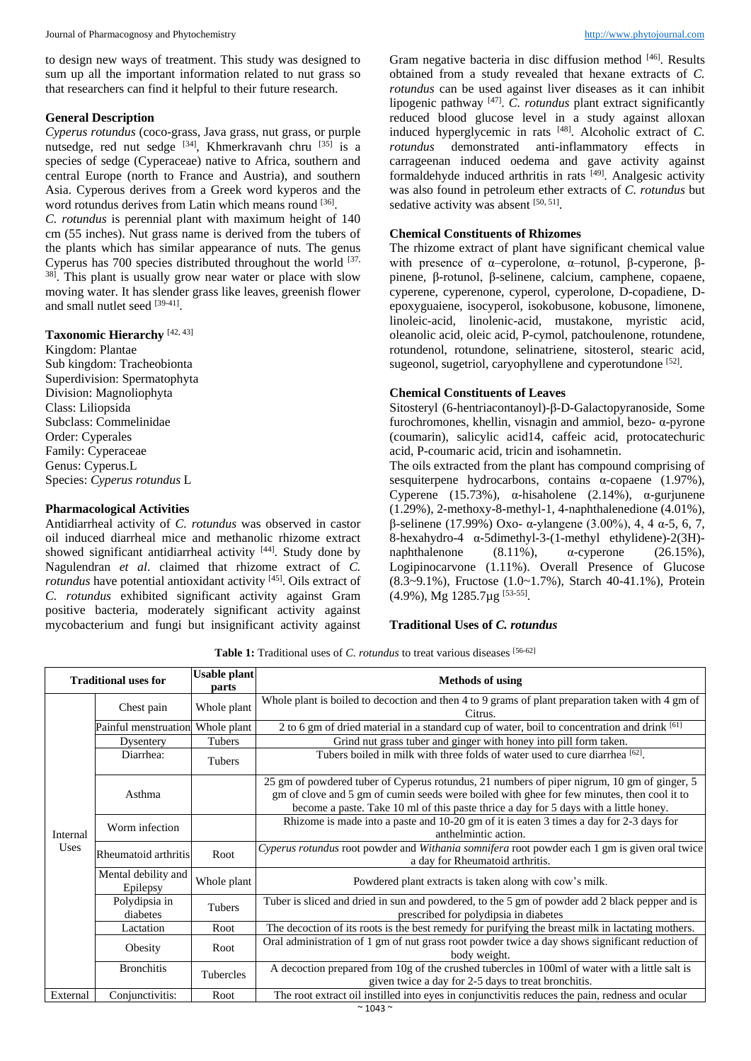to design new ways of treatment. This study was designed to sum up all the important information related to nut grass so that researchers can find it helpful to their future research.

## **General Description**

*Cyperus rotundus* (coco-grass, Java grass, nut grass, or purple nutsedge, red nut sedge [34], Khmerkravanh chru [35] is a species of sedge (Cyperaceae) native to Africa, southern and central Europe (north to France and Austria), and southern Asia. Cyperous derives from a Greek word kyperos and the word rotundus derives from Latin which means round [36].

*C. rotundus* is perennial plant with maximum height of 140 cm (55 inches). Nut grass name is derived from the tubers of the plants which has similar appearance of nuts. The genus Cyperus has 700 species distributed throughout the world [37, <sup>38]</sup>. This plant is usually grow near water or place with slow moving water. It has slender grass like leaves, greenish flower and small nutlet seed [39-41].

#### **Taxonomic Hierarchy** [42, 43]

Kingdom: Plantae Sub kingdom: Tracheobionta Superdivision: Spermatophyta Division: Magnoliophyta Class: Liliopsida Subclass: Commelinidae Order: Cyperales Family: Cyperaceae Genus: Cyperus.L Species: *Cyperus rotundus* L

#### **Pharmacological Activities**

Antidiarrheal activity of *C. rotundus* was observed in castor oil induced diarrheal mice and methanolic rhizome extract showed significant antidiarrheal activity [44]. Study done by Nagulendran *et al*. claimed that rhizome extract of *C. rotundus* have potential antioxidant activity [45]. Oils extract of *C. rotundus* exhibited significant activity against Gram positive bacteria, moderately significant activity against mycobacterium and fungi but insignificant activity against

Gram negative bacteria in disc diffusion method [46]. Results obtained from a study revealed that hexane extracts of *C. rotundus* can be used against liver diseases as it can inhibit lipogenic pathway [47] . *C. rotundus* plant extract significantly reduced blood glucose level in a study against alloxan induced hyperglycemic in rats [48]. Alcoholic extract of *C. rotundus* demonstrated anti-inflammatory effects in carrageenan induced oedema and gave activity against formaldehyde induced arthritis in rats  $[49]$ . Analgesic activity was also found in petroleum ether extracts of *C. rotundus* but sedative activity was absent [50, 51].

# **Chemical Constituents of Rhizomes**

The rhizome extract of plant have significant chemical value with presence of α–cyperolone, α–rotunol, β-cyperone, βpinene, β-rotunol, β-selinene, calcium, camphene, copaene, cyperene, cyperenone, cyperol, cyperolone, D-copadiene, Depoxyguaiene, isocyperol, isokobusone, kobusone, limonene, linoleic-acid, linolenic-acid, mustakone, myristic acid, oleanolic acid, oleic acid, P-cymol, patchoulenone, rotundene, rotundenol, rotundone, selinatriene, sitosterol, stearic acid, sugeonol, sugetriol, caryophyllene and cyperotundone [52].

# **Chemical Constituents of Leaves**

Sitosteryl (6-hentriacontanoyl)-β-D-Galactopyranoside, Some furochromones, khellin, visnagin and ammiol, bezo- α-pyrone (coumarin), salicylic acid14, caffeic acid, protocatechuric acid, P-coumaric acid, tricin and isohamnetin.

The oils extracted from the plant has compound comprising of sesquiterpene hydrocarbons, contains α-copaene (1.97%), Cyperene (15.73%), α-hisaholene (2.14%), α-gurjunene (1.29%), 2-methoxy-8-methyl-1, 4-naphthalenedione (4.01%), β-selinene (17.99%) Oxo- α-ylangene (3.00%), 4, 4 α-5, 6, 7, 8-hexahydro-4 α-5dimethyl-3-(1-methyl ethylidene)-2(3H) naphthalenone  $(8.11\%)$ ,  $\alpha$ -cyperone  $(26.15\%)$ , Logipinocarvone (1.11%). Overall Presence of Glucose (8.3~9.1%), Fructose (1.0~1.7%), Starch 40-41.1%), Protein (4.9%), Mg 1285.7µg [53-55] .

# **Traditional Uses of** *C. rotundus*

Table 1: Traditional uses of *C. rotundus* to treat various diseases [56-62]

| <b>Traditional uses for</b> |                                  | <b>Usable plant</b><br>parts | <b>Methods of using</b>                                                                                                                                                                                                                                                            |
|-----------------------------|----------------------------------|------------------------------|------------------------------------------------------------------------------------------------------------------------------------------------------------------------------------------------------------------------------------------------------------------------------------|
| Internal<br>Uses            | Chest pain                       | Whole plant                  | Whole plant is boiled to decoction and then 4 to 9 grams of plant preparation taken with 4 gm of<br>Citrus.                                                                                                                                                                        |
|                             | Painful menstruation Whole plant |                              | 2 to 6 gm of dried material in a standard cup of water, boil to concentration and drink [61]                                                                                                                                                                                       |
|                             | Dysentery                        | Tubers                       | Grind nut grass tuber and ginger with honey into pill form taken.                                                                                                                                                                                                                  |
|                             | Diarrhea:                        | Tubers                       | Tubers boiled in milk with three folds of water used to cure diarrhea [62].                                                                                                                                                                                                        |
|                             | Asthma                           |                              | 25 gm of powdered tuber of Cyperus rotundus, 21 numbers of piper nigrum, 10 gm of ginger, 5<br>gm of clove and 5 gm of cumin seeds were boiled with ghee for few minutes, then cool it to<br>become a paste. Take 10 ml of this paste thrice a day for 5 days with a little honey. |
|                             | Worm infection                   |                              | Rhizome is made into a paste and 10-20 gm of it is eaten 3 times a day for 2-3 days for<br>anthelmintic action.                                                                                                                                                                    |
|                             | Rheumatoid arthritis             | Root                         | Cyperus rotundus root powder and Withania somnifera root powder each 1 gm is given oral twice<br>a day for Rheumatoid arthritis.                                                                                                                                                   |
|                             | Mental debility and<br>Epilepsy  | Whole plant                  | Powdered plant extracts is taken along with cow's milk.                                                                                                                                                                                                                            |
|                             | Polydipsia in<br>diabetes        | Tubers                       | Tuber is sliced and dried in sun and powdered, to the 5 gm of powder add 2 black pepper and is<br>prescribed for polydipsia in diabetes                                                                                                                                            |
|                             | Lactation                        | Root                         | The decoction of its roots is the best remedy for purifying the breast milk in lactating mothers.                                                                                                                                                                                  |
|                             | Obesity                          | Root                         | Oral administration of 1 gm of nut grass root powder twice a day shows significant reduction of<br>body weight.                                                                                                                                                                    |
|                             | <b>Bronchitis</b>                | Tubercles                    | A decoction prepared from 10g of the crushed tubercles in 100ml of water with a little salt is<br>given twice a day for 2-5 days to treat bronchitis.                                                                                                                              |
| External                    | Conjunctivitis:                  | Root                         | The root extract oil instilled into eyes in conjunctivitis reduces the pain, redness and ocular                                                                                                                                                                                    |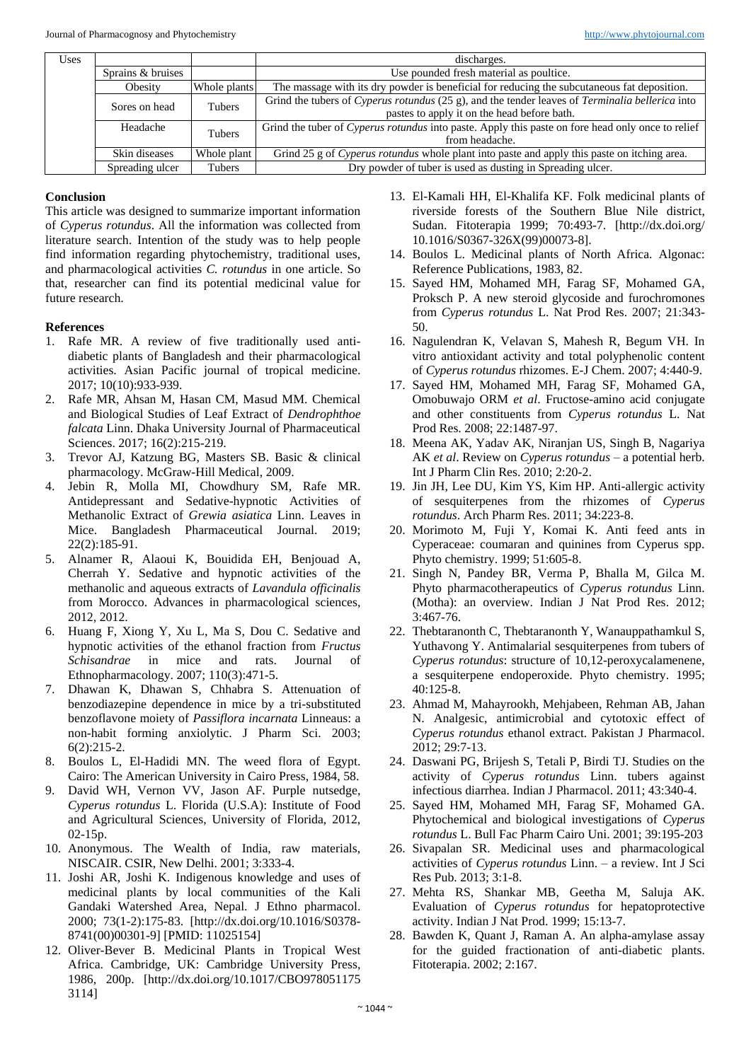| Uses |                   |               | discharges.                                                                                       |
|------|-------------------|---------------|---------------------------------------------------------------------------------------------------|
|      | Sprains & bruises |               | Use pounded fresh material as poultice.                                                           |
|      | Obesity           | Whole plants  | The massage with its dry powder is beneficial for reducing the subcutaneous fat deposition.       |
|      | Sores on head     | Tubers        | Grind the tubers of Cyperus rotundus (25 g), and the tender leaves of Terminalia bellerica into   |
|      |                   |               | pastes to apply it on the head before bath.                                                       |
|      | Headache          | <b>Tubers</b> | Grind the tuber of Cyperus rotundus into paste. Apply this paste on fore head only once to relief |
|      |                   |               | from headache.                                                                                    |
|      | Skin diseases     | Whole plant   | Grind 25 g of Cyperus rotundus whole plant into paste and apply this paste on itching area.       |
|      | Spreading ulcer   | Tubers        | Dry powder of tuber is used as dusting in Spreading ulcer.                                        |

## **Conclusion**

This article was designed to summarize important information of *Cyperus rotundus*. All the information was collected from literature search. Intention of the study was to help people find information regarding phytochemistry, traditional uses, and pharmacological activities *C. rotundus* in one article. So that, researcher can find its potential medicinal value for future research.

#### **References**

- 1. Rafe MR. A review of five traditionally used antidiabetic plants of Bangladesh and their pharmacological activities. Asian Pacific journal of tropical medicine. 2017; 10(10):933-939.
- 2. Rafe MR, Ahsan M, Hasan CM, Masud MM. Chemical and Biological Studies of Leaf Extract of *Dendrophthoe falcata* Linn. Dhaka University Journal of Pharmaceutical Sciences. 2017; 16(2):215-219.
- 3. Trevor AJ, Katzung BG, Masters SB. Basic & clinical pharmacology. McGraw-Hill Medical, 2009.
- 4. Jebin R, Molla MI, Chowdhury SM, Rafe MR. Antidepressant and Sedative-hypnotic Activities of Methanolic Extract of *Grewia asiatica* Linn. Leaves in Mice. Bangladesh Pharmaceutical Journal. 2019; 22(2):185-91.
- 5. Alnamer R, Alaoui K, Bouidida EH, Benjouad A, Cherrah Y. Sedative and hypnotic activities of the methanolic and aqueous extracts of *Lavandula officinalis* from Morocco. Advances in pharmacological sciences, 2012, 2012.
- 6. Huang F, Xiong Y, Xu L, Ma S, Dou C. Sedative and hypnotic activities of the ethanol fraction from *Fructus Schisandrae* in mice and rats. Journal of Ethnopharmacology. 2007; 110(3):471-5.
- 7. Dhawan K, Dhawan S, Chhabra S. Attenuation of benzodiazepine dependence in mice by a tri-substituted benzoflavone moiety of *Passiflora incarnata* Linneaus: a non-habit forming anxiolytic. J Pharm Sci. 2003; 6(2):215-2.
- 8. Boulos L, El-Hadidi MN. The weed flora of Egypt. Cairo: The American University in Cairo Press, 1984, 58.
- 9. David WH, Vernon VV, Jason AF. Purple nutsedge, *Cyperus rotundus* L. Florida (U.S.A): Institute of Food and Agricultural Sciences, University of Florida, 2012, 02-15p.
- 10. Anonymous. The Wealth of India, raw materials, NISCAIR. CSIR, New Delhi. 2001; 3:333-4.
- 11. Joshi AR, Joshi K. Indigenous knowledge and uses of medicinal plants by local communities of the Kali Gandaki Watershed Area, Nepal. J Ethno pharmacol. 2000; 73(1-2):175-83. [http://dx.doi.org/10.1016/S0378- 8741(00)00301-9] [PMID: 11025154]
- 12. Oliver-Bever B. Medicinal Plants in Tropical West Africa. Cambridge, UK: Cambridge University Press, 1986, 200p. [http://dx.doi.org/10.1017/CBO978051175 3114]
- 13. El-Kamali HH, El-Khalifa KF. Folk medicinal plants of riverside forests of the Southern Blue Nile district, Sudan. Fitoterapia 1999; 70:493-7. [http://dx.doi.org/ 10.1016/S0367-326X(99)00073-8].
- 14. Boulos L. Medicinal plants of North Africa. Algonac: Reference Publications, 1983, 82.
- 15. Sayed HM, Mohamed MH, Farag SF, Mohamed GA, Proksch P. A new steroid glycoside and furochromones from *Cyperus rotundus* L. Nat Prod Res. 2007; 21:343- 50.
- 16. Nagulendran K, Velavan S, Mahesh R, Begum VH. In vitro antioxidant activity and total polyphenolic content of *Cyperus rotundus* rhizomes. E-J Chem. 2007; 4:440-9.
- 17. Sayed HM, Mohamed MH, Farag SF, Mohamed GA, Omobuwajo ORM *et al*. Fructose-amino acid conjugate and other constituents from *Cyperus rotundus* L. Nat Prod Res. 2008; 22:1487-97.
- 18. Meena AK, Yadav AK, Niranjan US, Singh B, Nagariya AK *et al*. Review on *Cyperus rotundus* – a potential herb. Int J Pharm Clin Res. 2010; 2:20-2.
- 19. Jin JH, Lee DU, Kim YS, Kim HP. Anti-allergic activity of sesquiterpenes from the rhizomes of *Cyperus rotundus*. Arch Pharm Res. 2011; 34:223-8.
- 20. Morimoto M, Fuji Y, Komai K. Anti feed ants in Cyperaceae: coumaran and quinines from Cyperus spp. Phyto chemistry. 1999; 51:605-8.
- 21. Singh N, Pandey BR, Verma P, Bhalla M, Gilca M. Phyto pharmacotherapeutics of *Cyperus rotundus* Linn. (Motha): an overview. Indian J Nat Prod Res. 2012; 3:467-76.
- 22. Thebtaranonth C, Thebtaranonth Y, Wanauppathamkul S, Yuthavong Y. Antimalarial sesquiterpenes from tubers of *Cyperus rotundus*: structure of 10,12-peroxycalamenene, a sesquiterpene endoperoxide. Phyto chemistry. 1995; 40:125-8.
- 23. Ahmad M, Mahayrookh, Mehjabeen, Rehman AB, Jahan N. Analgesic, antimicrobial and cytotoxic effect of *Cyperus rotundus* ethanol extract. Pakistan J Pharmacol. 2012; 29:7-13.
- 24. Daswani PG, Brijesh S, Tetali P, Birdi TJ. Studies on the activity of *Cyperus rotundus* Linn. tubers against infectious diarrhea. Indian J Pharmacol. 2011; 43:340-4.
- 25. Sayed HM, Mohamed MH, Farag SF, Mohamed GA. Phytochemical and biological investigations of *Cyperus rotundus* L. Bull Fac Pharm Cairo Uni. 2001; 39:195-203
- 26. Sivapalan SR. Medicinal uses and pharmacological activities of *Cyperus rotundus* Linn. – a review. Int J Sci Res Pub. 2013; 3:1-8.
- 27. Mehta RS, Shankar MB, Geetha M, Saluja AK. Evaluation of *Cyperus rotundus* for hepatoprotective activity. Indian J Nat Prod. 1999; 15:13-7.
- 28. Bawden K, Quant J, Raman A. An alpha-amylase assay for the guided fractionation of anti-diabetic plants. Fitoterapia. 2002; 2:167.